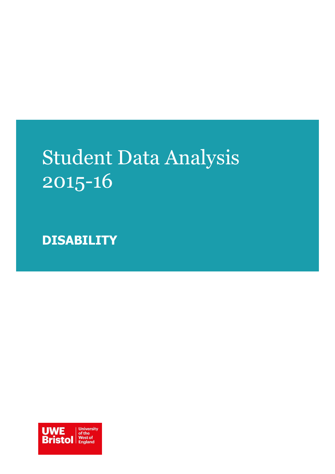# Student Data Analysis 2015-16

**DISABILITY** 

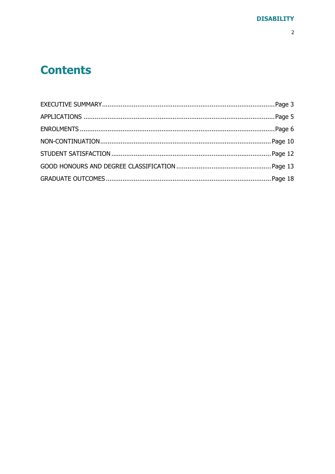### **Contents**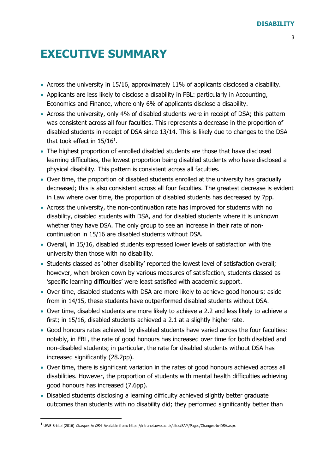### <span id="page-2-0"></span>**EXECUTIVE SUMMARY**

- Across the university in 15/16, approximately 11% of applicants disclosed a disability.
- Applicants are less likely to disclose a disability in FBL: particularly in Accounting, Economics and Finance, where only 6% of applicants disclose a disability.
- Across the university, only 4% of disabled students were in receipt of DSA; this pattern was consistent across all four faculties. This represents a decrease in the proportion of disabled students in receipt of DSA since 13/14. This is likely due to changes to the DSA that took effect in  $15/16^1$ .
- The highest proportion of enrolled disabled students are those that have disclosed learning difficulties, the lowest proportion being disabled students who have disclosed a physical disability. This pattern is consistent across all faculties.
- Over time, the proportion of disabled students enrolled at the university has gradually decreased; this is also consistent across all four faculties. The greatest decrease is evident in Law where over time, the proportion of disabled students has decreased by 7pp.
- Across the university, the non-continuation rate has improved for students with no disability, disabled students with DSA, and for disabled students where it is unknown whether they have DSA. The only group to see an increase in their rate of noncontinuation in 15/16 are disabled students without DSA.
- Overall, in 15/16, disabled students expressed lower levels of satisfaction with the university than those with no disability.
- Students classed as 'other disability' reported the lowest level of satisfaction overall; however, when broken down by various measures of satisfaction, students classed as 'specific learning difficulties' were least satisfied with academic support.
- Over time, disabled students with DSA are more likely to achieve good honours; aside from in 14/15, these students have outperformed disabled students without DSA.
- Over time, disabled students are more likely to achieve a 2.2 and less likely to achieve a first; in 15/16, disabled students achieved a 2.1 at a slightly higher rate.
- Good honours rates achieved by disabled students have varied across the four faculties: notably, in FBL, the rate of good honours has increased over time for both disabled and non-disabled students; in particular, the rate for disabled students without DSA has increased significantly (28.2pp).
- Over time, there is significant variation in the rates of good honours achieved across all disabilities. However, the proportion of students with mental health difficulties achieving good honours has increased (7.6pp).
- Disabled students disclosing a learning difficulty achieved slightly better graduate outcomes than students with no disability did; they performed significantly better than

-

<sup>&</sup>lt;sup>1</sup> UWE Bristol (2016) Changes to DSA. Available from: https://intranet.uwe.ac.uk/sites/SAM/Pages/Changes-to-DSA.aspx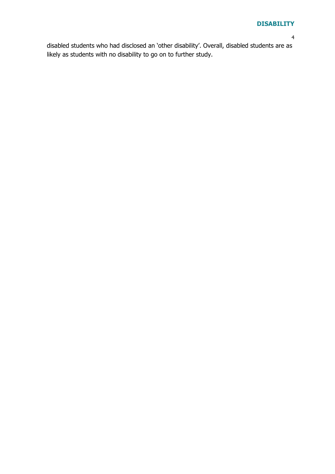disabled students who had disclosed an 'other disability'. Overall, disabled students are as likely as students with no disability to go on to further study.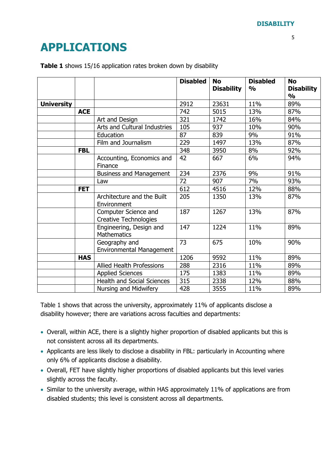## <span id="page-4-0"></span>**APPLICATIONS**

|                   |            |                                                      | <b>Disabled</b> | <b>No</b><br><b>Disability</b> | <b>Disabled</b><br>$\frac{0}{0}$ | <b>No</b><br><b>Disability</b><br>$\frac{0}{0}$ |
|-------------------|------------|------------------------------------------------------|-----------------|--------------------------------|----------------------------------|-------------------------------------------------|
| <b>University</b> |            |                                                      | 2912            | 23631                          | 11%                              | 89%                                             |
|                   | <b>ACE</b> |                                                      | 742             | 5015                           | 13%                              | 87%                                             |
|                   |            | Art and Design                                       | 321             | 1742                           | 16%                              | 84%                                             |
|                   |            | Arts and Cultural Industries                         | 105             | 937                            | 10%                              | 90%                                             |
|                   |            | Education                                            | 87              | 839                            | 9%                               | 91%                                             |
|                   |            | Film and Journalism                                  | 229             | 1497                           | 13%                              | 87%                                             |
|                   | <b>FBL</b> |                                                      | 348             | 3950                           | 8%                               | 92%                                             |
|                   |            | Accounting, Economics and<br>Finance                 | 42              | 667                            | 6%                               | 94%                                             |
|                   |            | <b>Business and Management</b>                       | 234             | 2376                           | 9%                               | 91%                                             |
|                   |            | Law                                                  | 72              | 907                            | 7%                               | 93%                                             |
|                   | <b>FET</b> |                                                      | 612             | 4516                           | 12%                              | 88%                                             |
|                   |            | Architecture and the Built<br>Environment            | 205             | 1350                           | 13%                              | 87%                                             |
|                   |            | Computer Science and<br><b>Creative Technologies</b> | 187             | 1267                           | 13%                              | 87%                                             |
|                   |            | Engineering, Design and<br><b>Mathematics</b>        | 147             | 1224                           | 11%                              | 89%                                             |
|                   |            | Geography and<br><b>Environmental Management</b>     | 73              | 675                            | 10%                              | 90%                                             |
|                   | <b>HAS</b> |                                                      | 1206            | 9592                           | 11%                              | 89%                                             |
|                   |            | <b>Allied Health Professions</b>                     | 288             | 2316                           | 11%                              | 89%                                             |
|                   |            | <b>Applied Sciences</b>                              | 175             | 1383                           | 11%                              | 89%                                             |
|                   |            | Health and Social Sciences                           | 315             | 2338                           | 12%                              | 88%                                             |
|                   |            | Nursing and Midwifery                                | 428             | 3555                           | 11%                              | 89%                                             |

**Table 1** shows 15/16 application rates broken down by disability

Table 1 shows that across the university, approximately 11% of applicants disclose a disability however; there are variations across faculties and departments:

- Overall, within ACE, there is a slightly higher proportion of disabled applicants but this is not consistent across all its departments.
- Applicants are less likely to disclose a disability in FBL: particularly in Accounting where only 6% of applicants disclose a disability.
- Overall, FET have slightly higher proportions of disabled applicants but this level varies slightly across the faculty.
- Similar to the university average, within HAS approximately 11% of applications are from disabled students; this level is consistent across all departments.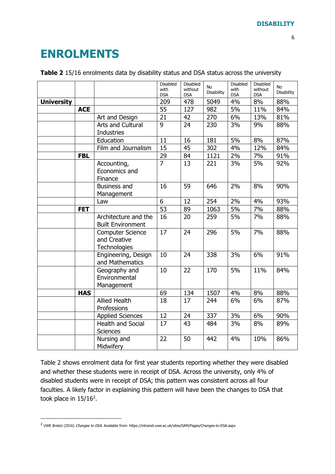### <span id="page-5-0"></span>**ENROLMENTS**

|                   |            |                                                         | Disabled<br>with<br><b>DSA</b> | Disabled<br>without<br><b>DSA</b> | No<br>Disability | Disabled<br>with<br><b>DSA</b> | Disabled<br>without<br><b>DSA</b> | No<br>Disability |
|-------------------|------------|---------------------------------------------------------|--------------------------------|-----------------------------------|------------------|--------------------------------|-----------------------------------|------------------|
| <b>University</b> |            |                                                         | 209                            | 478                               | 5049             | 4%                             | 8%                                | 88%              |
|                   | <b>ACE</b> |                                                         | 55                             | 127                               | 982              | 5%                             | 11%                               | 84%              |
|                   |            | Art and Design                                          | 21                             | 42                                | 270              | 6%                             | 13%                               | 81%              |
|                   |            | Arts and Cultural<br><b>Industries</b>                  | 9                              | 24                                | 230              | 3%                             | 9%                                | 88%              |
|                   |            | Education                                               | 11                             | 16                                | 181              | 5%                             | 8%                                | 87%              |
|                   |            | Film and Journalism                                     | 15                             | 45                                | 302              | 4%                             | 12%                               | 84%              |
|                   | <b>FBL</b> |                                                         | 29                             | 84                                | 1121             | 2%                             | 7%                                | 91%              |
|                   |            | Accounting,<br>Economics and<br>Finance                 | $\overline{7}$                 | 13                                | 221              | 3%                             | 5%                                | 92%              |
|                   |            | <b>Business and</b><br>Management                       | 16                             | 59                                | 646              | 2%                             | 8%                                | 90%              |
|                   |            | Law                                                     | 6                              | 12                                | 254              | 2%                             | 4%                                | 93%              |
|                   | <b>FET</b> |                                                         | $\overline{53}$                | 89                                | 1063             | 5%                             | 7%                                | 88%              |
|                   |            | Architecture and the<br><b>Built Environment</b>        | 16                             | 20                                | 259              | 5%                             | 7%                                | 88%              |
|                   |            | <b>Computer Science</b><br>and Creative<br>Technologies | 17                             | 24                                | 296              | 5%                             | 7%                                | 88%              |
|                   |            | Engineering, Design<br>and Mathematics                  | 10                             | 24                                | 338              | 3%                             | 6%                                | 91%              |
|                   |            | Geography and<br>Environmental<br>Management            | 10                             | 22                                | 170              | 5%                             | 11%                               | 84%              |
|                   | <b>HAS</b> |                                                         | 69                             | 134                               | 1507             | 4%                             | 8%                                | 88%              |
|                   |            | <b>Allied Health</b><br>Professions                     | 18                             | 17                                | 244              | 6%                             | 6%                                | 87%              |
|                   |            | <b>Applied Sciences</b>                                 | 12                             | 24                                | 337              | 3%                             | 6%                                | 90%              |
|                   |            | <b>Health and Social</b><br><b>Sciences</b>             | 17                             | 43                                | 484              | 3%                             | 8%                                | 89%              |
|                   |            | Nursing and<br>Midwifery                                | 22                             | 50                                | 442              | 4%                             | 10%                               | 86%              |

#### **Table 2** 15/16 enrolments data by disability status and DSA status across the university

Table 2 shows enrolment data for first year students reporting whether they were disabled and whether these students were in receipt of DSA. Across the university, only 4% of disabled students were in receipt of DSA; this pattern was consistent across all four faculties. A likely factor in explaining this pattern will have been the changes to DSA that took place in  $15/16^2$ .

-

<sup>&</sup>lt;sup>2</sup> UWE Bristol (2016) Changes to DSA. Available from: https://intranet.uwe.ac.uk/sites/SAM/Pages/Changes-to-DSA.aspx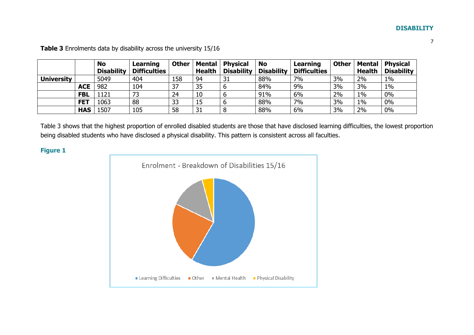|                   |            | <b>No</b><br><b>Disability</b> | Learning<br><b>Difficulties</b> | <b>Other</b> | <b>Mental</b><br><b>Health</b> | <b>Physical</b><br><b>Disability</b> | <b>No</b><br><b>Disability</b> | Learning<br><b>Difficulties</b> | <b>Other</b> | Mental<br><b>Health</b> | <b>Physical</b><br><b>Disability</b> |
|-------------------|------------|--------------------------------|---------------------------------|--------------|--------------------------------|--------------------------------------|--------------------------------|---------------------------------|--------------|-------------------------|--------------------------------------|
| <b>University</b> |            | 5049                           | 404                             | 158          | 94                             | 31                                   | 88%                            | 7%                              | 3%           | 2%                      | $1\%$                                |
|                   | <b>ACE</b> | 982                            | 104                             | 37           | 35                             |                                      | 84%                            | 9%                              | 3%           | 3%                      | $1\%$                                |
|                   | <b>FBL</b> | 1121                           |                                 | 24           | 10                             |                                      | 91%                            | 6%                              | 2%           | $1\%$                   | 0%                                   |
|                   | <b>FET</b> | 1063                           | 88                              | 33           | 15                             |                                      | 88%                            | 7%                              | 3%           | $1\%$                   | 0%                                   |
|                   | <b>HAS</b> | 1507                           | 105                             | 58           | 31                             |                                      | 88%                            | 6%                              | 3%           | 2%                      | $0\%$                                |

**Table 3** Enrolments data by disability across the university 15/16

Table 3 shows that the highest proportion of enrolled disabled students are those that have disclosed learning difficulties, the lowest proportion being disabled students who have disclosed a physical disability. This pattern is consistent across all faculties.

**Figure 1**

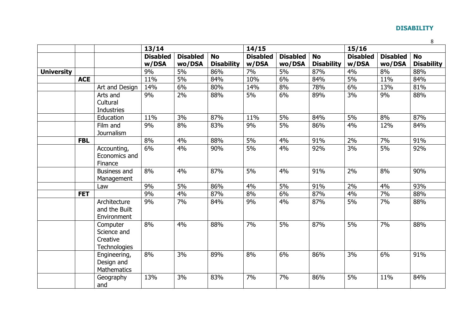|                   |            |                                                            | 13/14                    |                           |                                | 14/15                    |                           |                                | 15/16                    |                           |                                |  |
|-------------------|------------|------------------------------------------------------------|--------------------------|---------------------------|--------------------------------|--------------------------|---------------------------|--------------------------------|--------------------------|---------------------------|--------------------------------|--|
|                   |            |                                                            | <b>Disabled</b><br>w/DSA | <b>Disabled</b><br>wo/DSA | <b>No</b><br><b>Disability</b> | <b>Disabled</b><br>w/DSA | <b>Disabled</b><br>wo/DSA | <b>No</b><br><b>Disability</b> | <b>Disabled</b><br>w/DSA | <b>Disabled</b><br>wo/DSA | <b>No</b><br><b>Disability</b> |  |
| <b>University</b> |            |                                                            | 9%                       | 5%                        | 86%                            | 7%                       | 5%                        | 87%                            | 4%                       | 8%                        | 88%                            |  |
|                   | <b>ACE</b> |                                                            | 11%                      | 5%                        | 84%                            | 10%                      | 6%                        | 84%                            | 5%                       | 11%                       | 84%                            |  |
|                   |            | Art and Design                                             | 14%                      | 6%                        | 80%                            | 14%                      | 8%                        | 78%                            | 6%                       | 13%                       | 81%                            |  |
|                   |            | Arts and<br>Cultural<br><b>Industries</b>                  | 9%                       | 2%                        | 88%                            | 5%                       | 6%                        | 89%                            | 3%                       | 9%                        | 88%                            |  |
|                   |            | Education                                                  | 11%                      | 3%                        | 87%                            | 11%                      | 5%                        | 84%                            | 5%                       | 8%                        | 87%                            |  |
|                   |            | Film and<br><b>Journalism</b>                              | 9%                       | 8%                        | 83%                            | 9%                       | 5%                        | 86%                            | 4%                       | 12%                       | 84%                            |  |
|                   | <b>FBL</b> |                                                            | 8%                       | 4%                        | 88%                            | 5%                       | 4%                        | 91%                            | 2%                       | 7%                        | 91%                            |  |
|                   |            | Accounting,<br>Economics and<br>Finance                    | 6%                       | 4%                        | 90%                            | 5%                       | 4%                        | 92%                            | 3%                       | 5%                        | 92%                            |  |
|                   |            | <b>Business and</b><br>Management                          | 8%                       | 4%                        | 87%                            | 5%                       | 4%                        | 91%                            | 2%                       | 8%                        | 90%                            |  |
|                   |            | Law                                                        | 9%                       | 5%                        | 86%                            | 4%                       | 5%                        | 91%                            | 2%                       | 4%                        | 93%                            |  |
|                   | <b>FET</b> |                                                            | 9%                       | 4%                        | 87%                            | 8%                       | 6%                        | 87%                            | 4%                       | 7%                        | 88%                            |  |
|                   |            | Architecture<br>and the Built<br>Environment               | 9%                       | 7%                        | 84%                            | 9%                       | 4%                        | 87%                            | 5%                       | 7%                        | 88%                            |  |
|                   |            | Computer<br>Science and<br>Creative<br><b>Technologies</b> | 8%                       | 4%                        | 88%                            | 7%                       | 5%                        | 87%                            | 5%                       | 7%                        | 88%                            |  |
|                   |            | Engineering,<br>Design and<br><b>Mathematics</b>           | 8%                       | 3%                        | 89%                            | 8%                       | 6%                        | 86%                            | 3%                       | 6%                        | 91%                            |  |
|                   |            | Geography<br>and                                           | 13%                      | 3%                        | 83%                            | 7%                       | 7%                        | 86%                            | 5%                       | 11%                       | 84%                            |  |

8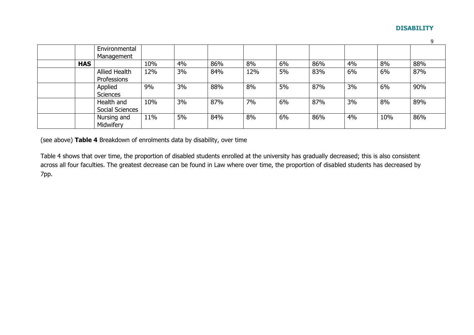| Environmental                       |     |    |     |     |    |     |    |     |     |
|-------------------------------------|-----|----|-----|-----|----|-----|----|-----|-----|
| Management                          |     |    |     |     |    |     |    |     |     |
| <b>HAS</b>                          | 10% | 4% | 86% | 8%  | 6% | 86% | 4% | 8%  | 88% |
| <b>Allied Health</b><br>Professions | 12% | 3% | 84% | 12% | 5% | 83% | 6% | 6%  | 87% |
| Applied<br><b>Sciences</b>          | 9%  | 3% | 88% | 8%  | 5% | 87% | 3% | 6%  | 90% |
| Health and<br>Social Sciences       | 10% | 3% | 87% | 7%  | 6% | 87% | 3% | 8%  | 89% |
| Nursing and<br>Midwifery            | 11% | 5% | 84% | 8%  | 6% | 86% | 4% | 10% | 86% |

(see above) **Table 4** Breakdown of enrolments data by disability, over time

Table 4 shows that over time, the proportion of disabled students enrolled at the university has gradually decreased; this is also consistent across all four faculties. The greatest decrease can be found in Law where over time, the proportion of disabled students has decreased by 7pp.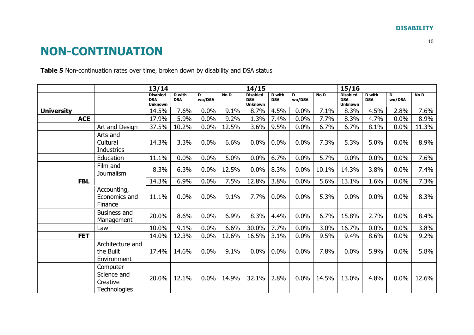### **NON-CONTINUATION**

**Table 5** Non-continuation rates over time, broken down by disability and DSA status

<span id="page-9-0"></span>

|                   |            |                                                            | 13/14                                           |                             |             |       |                                                 | 14/15                       |             |       |                                                 | 15/16                       |             |       |  |
|-------------------|------------|------------------------------------------------------------|-------------------------------------------------|-----------------------------|-------------|-------|-------------------------------------------------|-----------------------------|-------------|-------|-------------------------------------------------|-----------------------------|-------------|-------|--|
|                   |            |                                                            | <b>Disabled</b><br><b>DSA</b><br><b>Unknown</b> | <b>D</b> with<br><b>DSA</b> | D<br>wo/DSA | No D  | <b>Disabled</b><br><b>DSA</b><br><b>Unknown</b> | <b>D</b> with<br><b>DSA</b> | D<br>wo/DSA | No D  | <b>Disabled</b><br><b>DSA</b><br><b>Unknown</b> | <b>D</b> with<br><b>DSA</b> | D<br>wo/DSA | No D  |  |
| <b>University</b> |            |                                                            | 14.5%                                           | 7.6%                        | 0.0%        | 9.1%  | 8.7%                                            | 4.5%                        | 0.0%        | 7.1%  | 8.3%                                            | 4.5%                        | 2.8%        | 7.6%  |  |
|                   | <b>ACE</b> |                                                            | 17.9%                                           | 5.9%                        | 0.0%        | 9.2%  | 1.3%                                            | 7.4%                        | 0.0%        | 7.7%  | 8.3%                                            | 4.7%                        | 0.0%        | 8.9%  |  |
|                   |            | Art and Design                                             | 37.5%                                           | 10.2%                       | 0.0%        | 12.5% | 3.6%                                            | 9.5%                        | 0.0%        | 6.7%  | 6.7%                                            | 8.1%                        | 0.0%        | 11.3% |  |
|                   |            | Arts and<br>Cultural<br>Industries                         | 14.3%                                           | 3.3%                        | 0.0%        | 6.6%  | 0.0%                                            | 0.0%                        | 0.0%        | 7.3%  | 5.3%                                            | 5.0%                        | 0.0%        | 8.9%  |  |
|                   |            | Education                                                  | 11.1%                                           | 0.0%                        | 0.0%        | 5.0%  | 0.0%                                            | 6.7%                        | 0.0%        | 5.7%  | 0.0%                                            | 0.0%                        | 0.0%        | 7.6%  |  |
|                   |            | Film and<br>Journalism                                     | 8.3%                                            | 6.3%                        | 0.0%        | 12.5% | 0.0%                                            | 8.3%                        | 0.0%        | 10.1% | 14.3%                                           | 3.8%                        | 0.0%        | 7.4%  |  |
|                   | <b>FBL</b> |                                                            | 14.3%                                           | 6.9%                        | 0.0%        | 7.5%  | 12.8%                                           | 3.8%                        | 0.0%        | 5.6%  | 13.1%                                           | 1.6%                        | 0.0%        | 7.3%  |  |
|                   |            | Accounting,<br>Economics and<br>Finance                    | 11.1%                                           | 0.0%                        | 0.0%        | 9.1%  | 7.7%                                            | 0.0%                        | 0.0%        | 5.3%  | 0.0%                                            | 0.0%                        | 0.0%        | 8.3%  |  |
|                   |            | <b>Business and</b><br>Management                          | 20.0%                                           | 8.6%                        | 0.0%        | 6.9%  | 8.3%                                            | 4.4%                        | 0.0%        | 6.7%  | 15.8%                                           | 2.7%                        | 0.0%        | 8.4%  |  |
|                   |            | Law                                                        | 10.0%                                           | 9.1%                        | 0.0%        | 6.6%  | 30.0%                                           | 7.7%                        | 0.0%        | 3.0%  | 16.7%                                           | 0.0%                        | 0.0%        | 3.8%  |  |
|                   | <b>FET</b> |                                                            | 14.0%                                           | 12.3%                       | 0.0%        | 12.6% | 16.5%                                           | 3.1%                        | 0.0%        | 9.5%  | 9.4%                                            | 8.6%                        | 0.0%        | 9.2%  |  |
|                   |            | Architecture and<br>the Built<br>Environment               | 17.4%                                           | 14.6%                       | 0.0%        | 9.1%  | 0.0%                                            | 0.0%                        | 0.0%        | 7.8%  | 0.0%                                            | 5.9%                        | 0.0%        | 5.8%  |  |
|                   |            | Computer<br>Science and<br>Creative<br><b>Technologies</b> | 20.0%                                           | 12.1%                       | $0.0\%$     | 14.9% | 32.1%                                           | 2.8%                        | $0.0\%$     | 14.5% | 13.0%                                           | 4.8%                        | $0.0\%$     | 12.6% |  |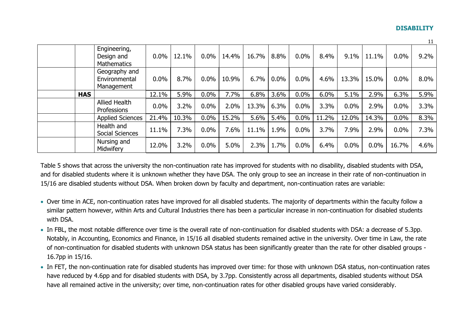|            |                                                  |         |       |         |       |       |         |         |       |       |       |         | -44  |
|------------|--------------------------------------------------|---------|-------|---------|-------|-------|---------|---------|-------|-------|-------|---------|------|
|            | Engineering,<br>Design and<br><b>Mathematics</b> | $0.0\%$ | 12.1% | $0.0\%$ | 14.4% | 16.7% | 8.8%    | $0.0\%$ | 8.4%  | 9.1%  | 11.1% | $0.0\%$ | 9.2% |
|            | Geography and<br>Environmental<br>Management     | 0.0%    | 8.7%  | 0.0%    | 10.9% | 6.7%  | $0.0\%$ | $0.0\%$ | 4.6%  | 13.3% | 15.0% | $0.0\%$ | 8.0% |
| <b>HAS</b> |                                                  | 12.1%   | 5.9%  | $0.0\%$ | 7.7%  | 6.8%  | $3.6\%$ | $0.0\%$ | 6.0%  | 5.1%  | 2.9%  | 6.3%    | 5.9% |
|            | <b>Allied Health</b><br>Professions              | 0.0%    | 3.2%  | 0.0%    | 2.0%  | 13.3% | 6.3%    | 0.0%    | 3.3%  | 0.0%  | 2.9%  | 0.0%    | 3.3% |
|            | <b>Applied Sciences</b>                          | 21.4%   | 10.3% | 0.0%    | 15.2% | 5.6%  | 5.4%    | 0.0%    | 11.2% | 12.0% | 14.3% | 0.0%    | 8.3% |
|            | Health and<br>Social Sciences                    | 11.1%   | 7.3%  | $0.0\%$ | 7.6%  | 11.1% | 1.9%    | 0.0%    | 3.7%  | 7.9%  | 2.9%  | 0.0%    | 7.3% |
|            | Nursing and<br>Midwifery                         | 12.0%   | 3.2%  | 0.0%    | 5.0%  | 2.3%  | 1.7%    | $0.0\%$ | 6.4%  | 0.0%  | 0.0%  | 16.7%   | 4.6% |

Table 5 shows that across the university the non-continuation rate has improved for students with no disability, disabled students with DSA, and for disabled students where it is unknown whether they have DSA. The only group to see an increase in their rate of non-continuation in 15/16 are disabled students without DSA. When broken down by faculty and department, non-continuation rates are variable:

- Over time in ACE, non-continuation rates have improved for all disabled students. The majority of departments within the faculty follow a similar pattern however, within Arts and Cultural Industries there has been a particular increase in non-continuation for disabled students with DSA.
- In FBL, the most notable difference over time is the overall rate of non-continuation for disabled students with DSA: a decrease of 5.3pp. Notably, in Accounting, Economics and Finance, in 15/16 all disabled students remained active in the university. Over time in Law, the rate of non-continuation for disabled students with unknown DSA status has been significantly greater than the rate for other disabled groups - 16.7pp in 15/16.
- In FET, the non-continuation rate for disabled students has improved over time: for those with unknown DSA status, non-continuation rates have reduced by 4.6pp and for disabled students with DSA, by 3.7pp. Consistently across all departments, disabled students without DSA have all remained active in the university; over time, non-continuation rates for other disabled groups have varied considerably.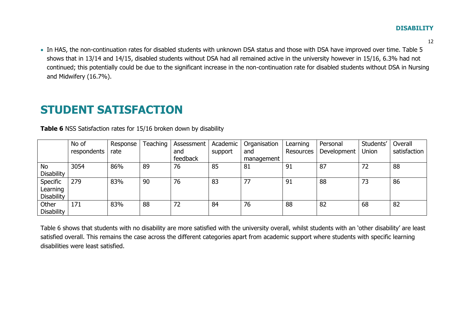12

 In HAS, the non-continuation rates for disabled students with unknown DSA status and those with DSA have improved over time. Table 5 shows that in 13/14 and 14/15, disabled students without DSA had all remained active in the university however in 15/16, 6.3% had not continued; this potentially could be due to the significant increase in the non-continuation rate for disabled students without DSA in Nursing and Midwifery (16.7%).

### **STUDENT SATISFACTION**

|                   | No of       | Response | Teaching | Assessment | Academic | Organisation | Learning         | Personal    | Students' | Overall      |
|-------------------|-------------|----------|----------|------------|----------|--------------|------------------|-------------|-----------|--------------|
|                   | respondents | rate     |          | and        | support  | and          | <b>Resources</b> | Development | Union     | satisfaction |
|                   |             |          |          | feedback   |          | management   |                  |             |           |              |
| <b>No</b>         | 3054        | 86%      | 89       | 76         | 85       | 81           | 91               | 87          | 72        | 88           |
| <b>Disability</b> |             |          |          |            |          |              |                  |             |           |              |
| Specific          | 279         | 83%      | 90       | 76         | 83       | 77           | 91               | 88          | 73        | 86           |
| Learning          |             |          |          |            |          |              |                  |             |           |              |
| <b>Disability</b> |             |          |          |            |          |              |                  |             |           |              |
| Other             | 171         | 83%      | 88       | 72         | 84       | 76           | 88               | 82          | 68        | 82           |
| <b>Disability</b> |             |          |          |            |          |              |                  |             |           |              |

**Table 6** NSS Satisfaction rates for 15/16 broken down by disability

<span id="page-11-0"></span>Table 6 shows that students with no disability are more satisfied with the university overall, whilst students with an 'other disability' are least satisfied overall. This remains the case across the different categories apart from academic support where students with specific learning disabilities were least satisfied.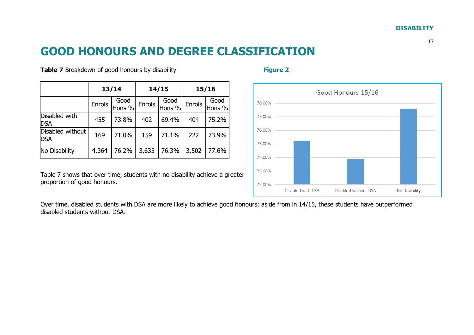### **GOOD HONOURS AND DEGREE CLASSIFICATION**

**Table 7** Breakdown of good honours by disability **Figure 2 Figure 2** 

|                                |        | 13/14          |        | 14/15          | 15/16  |                |  |
|--------------------------------|--------|----------------|--------|----------------|--------|----------------|--|
|                                | Enrols | Good<br>Hons % | Enrols | Good<br>Hons % | Enrols | Good<br>Hons % |  |
| Disabled with<br><b>DSA</b>    | 455    | 73.8%          | 402    | 69.4%          | 404    | 75.2%          |  |
| Disabled without<br><b>DSA</b> | 169    | 71.0%          | 159    | 71.1%          | 222    | 73.9%          |  |
| No Disability                  | 4,364  | 76.2%          | 3,635  | 76.3%          | 3,502  | 77.6%          |  |

<span id="page-12-0"></span>Table 7 shows that over time, students with no disability achieve a greater proportion of good honours.

Over time, disabled students with DSA are more likely to achieve good honours; aside from in 14/15, these students have outperformed disabled students without DSA.



#### 13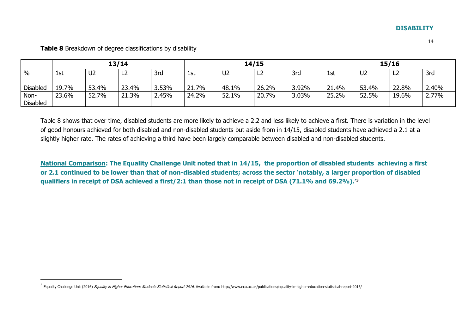|                         | 13/14 |                |       |       | 14/15 |                |       |       | 15/16 |                |                |       |
|-------------------------|-------|----------------|-------|-------|-------|----------------|-------|-------|-------|----------------|----------------|-------|
| $\%$                    | 1st   | U <sub>2</sub> | L2    | 3rd   | 1st   | U <sub>2</sub> | ∽     | 3rd   | 1st   | U <sub>2</sub> | L <sub>2</sub> | 3rd   |
| <b>Disabled</b>         | 19.7% | 53.4%          | 23.4% | 3.53% | 21.7% | 48.1%          | 26.2% | 3.92% | 21.4% | 53.4%          | 22.8%          | 2.40% |
| Non-<br><b>Disabled</b> | 23.6% | 52.7%          | 21.3% | 2.45% | 24.2% | 52.1%          | 20.7% | 3.03% | 25.2% | 52.5%          | 19.6%          | 2.77% |

**Table 8** Breakdown of degree classifications by disability

-

Table 8 shows that over time, disabled students are more likely to achieve a 2.2 and less likely to achieve a first. There is variation in the level of good honours achieved for both disabled and non-disabled students but aside from in 14/15, disabled students have achieved a 2.1 at a slightly higher rate. The rates of achieving a third have been largely comparable between disabled and non-disabled students.

**National Comparison: The Equality Challenge Unit noted that in 14/15, the proportion of disabled students achieving a first or 2.1 continued to be lower than that of non-disabled students; across the sector 'notably, a larger proportion of disabled qualifiers in receipt of DSA achieved a first/2:1 than those not in receipt of DSA (71.1% and 69.2%).'<sup>3</sup>**

<sup>&</sup>lt;sup>3</sup> Equality Challenge Unit (2016) *Equality in Higher Education: Students Statistical Report 2016.* Available from: http://www.ecu.ac.uk/publications/equality-in-higher-education-statistical-report-2016/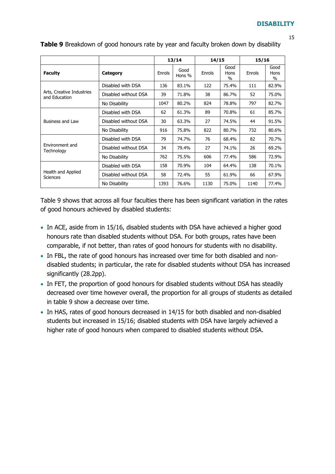| c |               |
|---|---------------|
|   |               |
|   | I<br>۰,<br>v. |

|                                            |                      |        | 13/14          | 14/15  |                                  | 15/16  |                      |
|--------------------------------------------|----------------------|--------|----------------|--------|----------------------------------|--------|----------------------|
| <b>Faculty</b>                             | Category             | Enrols | Good<br>Hons % | Enrols | Good<br>Hons<br>$\%$             | Enrols | Good<br>Hons<br>$\%$ |
|                                            | Disabled with DSA    | 136    | 83.1%          | 122    | 75.4%                            | 111    | 82.9%                |
| Arts, Creative Industries<br>and Education | Disabled without DSA | 39     | 71.8%          | 38     | 86.7%                            | 52     | 75.0%                |
|                                            | No Disability        | 1047   | 80.2%          | 824    | 78.8%<br>70.8%<br>74.5%<br>80.7% | 797    | 82.7%                |
|                                            | Disabled with DSA    | 62     | 61.3%          | 89     |                                  | 61     | 85.7%                |
| Business and Law                           | Disabled without DSA | 30     | 63.3%          | 27     |                                  | 44     | 91.5%                |
|                                            | No Disability        | 916    | 75.8%          | 822    | 732                              | 80.6%  |                      |
|                                            | Disabled with DSA    | 79     | 74.7%          | 76     | 68.4%                            | 82     | 70.7%                |
| <b>Fnvironment and</b><br>Technology       | Disabled without DSA | 34     | 79.4%          | 27     | 74.1%                            | 26     | 69.2%                |
|                                            | No Disability        | 762    | 75.5%          | 606    | 77.4%                            | 586    | 72.9%                |
|                                            | Disabled with DSA    | 158    | 70.9%          | 104    | 64.4%                            | 138    | 70.1%                |
| Health and Applied<br><b>Sciences</b>      | Disabled without DSA | 58     | 72.4%          | 55     | 61.9%                            | 66     | 67.9%                |
|                                            | No Disability        | 1393   | 76.6%          | 1130   | 75.0%                            | 1140   | 77.4%                |

### **Table 9** Breakdown of good honours rate by year and faculty broken down by disability

Table 9 shows that across all four faculties there has been significant variation in the rates of good honours achieved by disabled students:

- In ACE, aside from in 15/16, disabled students with DSA have achieved a higher good honours rate than disabled students without DSA. For both groups, rates have been comparable, if not better, than rates of good honours for students with no disability.
- In FBL, the rate of good honours has increased over time for both disabled and nondisabled students; in particular, the rate for disabled students without DSA has increased significantly (28.2pp).
- In FET, the proportion of good honours for disabled students without DSA has steadily decreased over time however overall, the proportion for all groups of students as detailed in table 9 show a decrease over time.
- In HAS, rates of good honours decreased in 14/15 for both disabled and non-disabled students but increased in 15/16; disabled students with DSA have largely achieved a higher rate of good honours when compared to disabled students without DSA.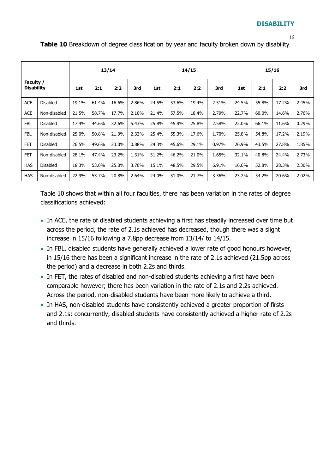#### 16

**Table 10** Breakdown of degree classification by year and faculty broken down by disability

|                                |                 |       |       | 13/14 |       |       | 14/15 |       |       |       | 15/16 |       |       |  |
|--------------------------------|-----------------|-------|-------|-------|-------|-------|-------|-------|-------|-------|-------|-------|-------|--|
| Faculty /<br><b>Disability</b> |                 | 1st   | 2:1   | 2:2   | 3rd   | 1st   | 2:1   | 2:2   | 3rd   | 1st   | 2:1   | 2:2   | 3rd   |  |
| <b>ACE</b>                     | <b>Disabled</b> | 19.1% | 61.4% | 16.6% | 2.86% | 24.5% | 53.6% | 19.4% | 2.51% | 24.5% | 55.8% | 17.2% | 2.45% |  |
| <b>ACE</b>                     | Non-disabled    | 21.5% | 58.7% | 17.7% | 2.10% | 21.4% | 57.5% | 18.4% | 2.79% | 22.7% | 60.0% | 14.6% | 2.76% |  |
| <b>FBL</b>                     | <b>Disabled</b> | 17.4% | 44.6% | 32.6% | 5.43% | 25.8% | 45.9% | 25.8% | 2.58% | 22.0% | 66.1% | 11.6% | 0.29% |  |
| <b>FBL</b>                     | Non-disabled    | 25.0% | 50.8% | 21.9% | 2.32% | 25.4% | 55.3% | 17.6% | 1.70% | 25.8% | 54.8% | 17.2% | 2.19% |  |
| <b>FET</b>                     | <b>Disabled</b> | 26.5% | 49.6% | 23.0% | 0.88% | 24.3% | 45.6% | 29.1% | 0.97% | 26.9% | 43.5% | 27.8% | 1.85% |  |
| <b>FET</b>                     | Non-disabled    | 28.1% | 47.4% | 23.2% | 1.31% | 31.2% | 46.2% | 21.0% | 1.65% | 32.1% | 40.8% | 24.4% | 2.73% |  |
| <b>HAS</b>                     | <b>Disabled</b> | 18.3% | 53.0% | 25.0% | 3.70% | 15.1% | 48.5% | 29.5% | 6.91% | 16.6% | 52.8% | 28.3% | 2.30% |  |
| <b>HAS</b>                     | Non-disabled    | 22.9% | 53.7% | 20.8% | 2.64% | 24.0% | 51.0% | 21.7% | 3.36% | 23.2% | 54.2% | 20.6% | 2.02% |  |

Table 10 shows that within all four faculties, there has been variation in the rates of degree classifications achieved:

- In ACE, the rate of disabled students achieving a first has steadily increased over time but across the period, the rate of 2.1s achieved has decreased, though there was a slight increase in 15/16 following a 7.8pp decrease from 13/14/ to 14/15.
- In FBL, disabled students have generally achieved a lower rate of good honours however, in 15/16 there has been a significant increase in the rate of 2.1s achieved (21.5pp across the period) and a decrease in both 2.2s and thirds.
- In FET, the rates of disabled and non-disabled students achieving a first have been comparable however; there has been variation in the rate of 2.1s and 2.2s achieved. Across the period, non-disabled students have been more likely to achieve a third.
- In HAS, non-disabled students have consistently achieved a greater proportion of firsts and 2.1s; concurrently, disabled students have consistently achieved a higher rate of 2.2s and thirds.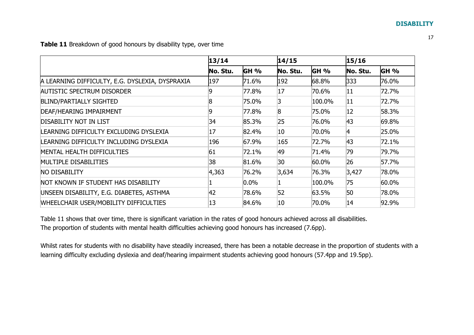**Table 11** Breakdown of good honours by disability type, over time

|                                                 | 13/14    |         | 14/15    |          |             | 15/16 |  |
|-------------------------------------------------|----------|---------|----------|----------|-------------|-------|--|
|                                                 | No. Stu. | GH %    | No. Stu. | GH %     | No. Stu.    | GH %  |  |
| A LEARNING DIFFICULTY, E.G. DYSLEXIA, DYSPRAXIA | 197      | 71.6%   | 192      | 68.8%    | 333         | 76.0% |  |
| <b>AUTISTIC SPECTRUM DISORDER</b>               | 9        | 77.8%   | 17       | 70.6%    | 11          | 72.7% |  |
| <b>BLIND/PARTIALLY SIGHTED</b>                  | 8        | 75.0%   | 13       | 100.0%   | 11          | 72.7% |  |
| DEAF/HEARING IMPAIRMENT                         | 9        | 77.8%   | 8        | 75.0%    | 12          | 58.3% |  |
| <b>DISABILITY NOT IN LIST</b>                   | 34       | 85.3%   | 25       | 76.0%    | 43          | 69.8% |  |
| LEARNING DIFFICULTY EXCLUDING DYSLEXIA          | 17       | 82.4%   | 10       | 70.0%    | $ 4\rangle$ | 25.0% |  |
| LEARNING DIFFICULTY INCLUDING DYSLEXIA          | 196      | 67.9%   | 165      | 72.7%    | 43          | 72.1% |  |
| MENTAL HEALTH DIFFICULTIES                      | 61       | 72.1%   | 49       | 71.4%    | 79          | 79.7% |  |
| MULTIPLE DISABILITIES                           | 38       | 81.6%   | 30       | $60.0\%$ | 26          | 57.7% |  |
| <b>NO DISABILITY</b>                            | 4,363    | 76.2%   | 3,634    | 76.3%    | 3,427       | 78.0% |  |
| NOT KNOWN IF STUDENT HAS DISABILITY             |          | $0.0\%$ |          | 100.0%   | 75          | 60.0% |  |
| UNSEEN DISABILITY, E.G. DIABETES, ASTHMA        | 42       | 78.6%   | 52       | 63.5%    | 50          | 78.0% |  |
| WHEELCHAIR USER/MOBILITY DIFFICULTIES           | 13       | 84.6%   | 10       | 70.0%    | 14          | 92.9% |  |

Table 11 shows that over time, there is significant variation in the rates of good honours achieved across all disabilities. The proportion of students with mental health difficulties achieving good honours has increased (7.6pp).

Whilst rates for students with no disability have steadily increased, there has been a notable decrease in the proportion of students with a learning difficulty excluding dyslexia and deaf/hearing impairment students achieving good honours (57.4pp and 19.5pp).